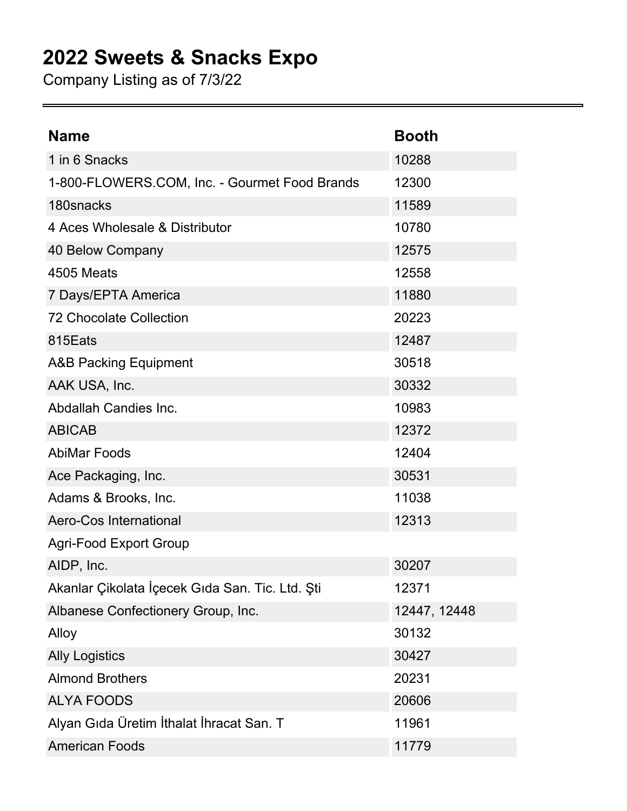## **2022 Sweets & Snacks Expo**

Company Listing as of 7/3/22

| <b>Name</b>                                     | <b>Booth</b> |
|-------------------------------------------------|--------------|
| 1 in 6 Snacks                                   | 10288        |
| 1-800-FLOWERS.COM, Inc. - Gourmet Food Brands   | 12300        |
| 180snacks                                       | 11589        |
| 4 Aces Wholesale & Distributor                  | 10780        |
| 40 Below Company                                | 12575        |
| 4505 Meats                                      | 12558        |
| 7 Days/EPTA America                             | 11880        |
| <b>72 Chocolate Collection</b>                  | 20223        |
| 815Eats                                         | 12487        |
| <b>A&amp;B Packing Equipment</b>                | 30518        |
| AAK USA, Inc.                                   | 30332        |
| Abdallah Candies Inc.                           | 10983        |
| <b>ABICAB</b>                                   | 12372        |
| <b>AbiMar Foods</b>                             | 12404        |
| Ace Packaging, Inc.                             | 30531        |
| Adams & Brooks, Inc.                            | 11038        |
| <b>Aero-Cos International</b>                   | 12313        |
| <b>Agri-Food Export Group</b>                   |              |
| AIDP, Inc.                                      | 30207        |
| Akanlar Çikolata İçecek Gıda San. Tic. Ltd. Şti | 12371        |
| Albanese Confectionery Group, Inc.              | 12447, 12448 |
| Alloy                                           | 30132        |
| <b>Ally Logistics</b>                           | 30427        |
| <b>Almond Brothers</b>                          | 20231        |
| <b>ALYA FOODS</b>                               | 20606        |
| Alyan Gıda Üretim İthalat İhracat San. T        | 11961        |
| <b>American Foods</b>                           | 11779        |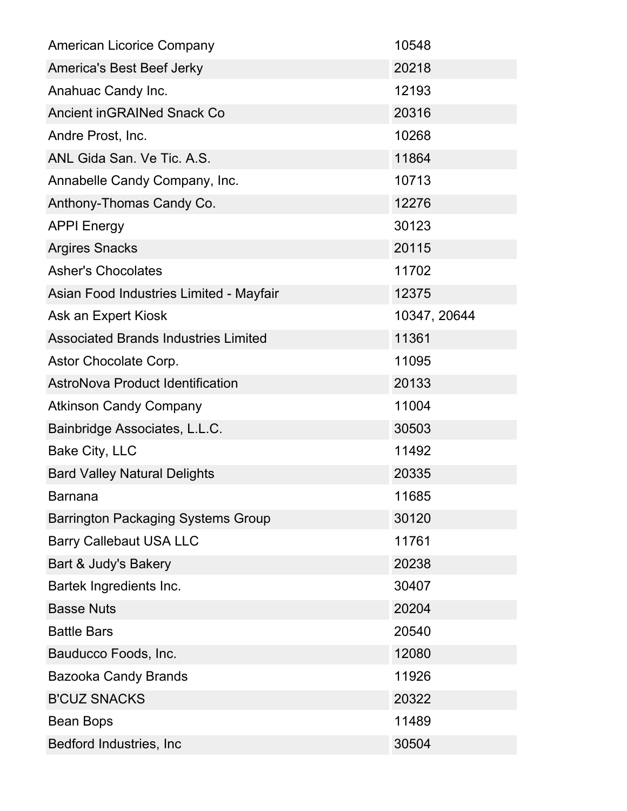| <b>American Licorice Company</b>            | 10548        |
|---------------------------------------------|--------------|
| <b>America's Best Beef Jerky</b>            | 20218        |
| Anahuac Candy Inc.                          | 12193        |
| <b>Ancient inGRAINed Snack Co</b>           | 20316        |
| Andre Prost, Inc.                           | 10268        |
| ANL Gida San. Ve Tic. A.S.                  | 11864        |
| Annabelle Candy Company, Inc.               | 10713        |
| Anthony-Thomas Candy Co.                    | 12276        |
| <b>APPI Energy</b>                          | 30123        |
| <b>Argires Snacks</b>                       | 20115        |
| <b>Asher's Chocolates</b>                   | 11702        |
| Asian Food Industries Limited - Mayfair     | 12375        |
| Ask an Expert Kiosk                         | 10347, 20644 |
| <b>Associated Brands Industries Limited</b> | 11361        |
| Astor Chocolate Corp.                       | 11095        |
| <b>AstroNova Product Identification</b>     | 20133        |
| <b>Atkinson Candy Company</b>               | 11004        |
| Bainbridge Associates, L.L.C.               | 30503        |
| Bake City, LLC                              | 11492        |
| <b>Bard Valley Natural Delights</b>         | 20335        |
| <b>Barnana</b>                              | 11685        |
| <b>Barrington Packaging Systems Group</b>   | 30120        |
| <b>Barry Callebaut USA LLC</b>              | 11761        |
| Bart & Judy's Bakery                        | 20238        |
| Bartek Ingredients Inc.                     | 30407        |
| <b>Basse Nuts</b>                           | 20204        |
| <b>Battle Bars</b>                          | 20540        |
| Bauducco Foods, Inc.                        | 12080        |
| <b>Bazooka Candy Brands</b>                 | 11926        |
| <b>B'CUZ SNACKS</b>                         | 20322        |
| Bean Bops                                   | 11489        |
| Bedford Industries, Inc                     | 30504        |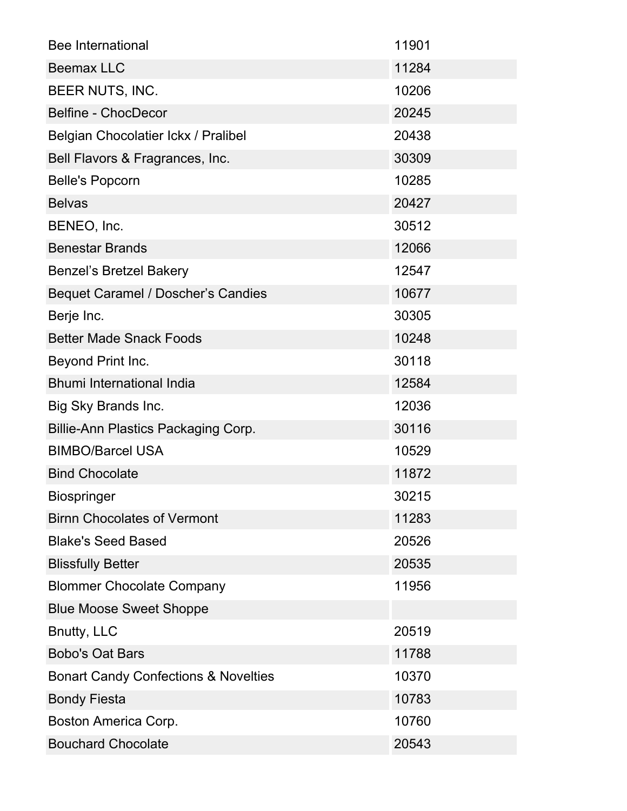| <b>Bee International</b>                        | 11901 |
|-------------------------------------------------|-------|
| <b>Beemax LLC</b>                               | 11284 |
| BEER NUTS, INC.                                 | 10206 |
| <b>Belfine - ChocDecor</b>                      | 20245 |
| Belgian Chocolatier Ickx / Pralibel             | 20438 |
| Bell Flavors & Fragrances, Inc.                 | 30309 |
| <b>Belle's Popcorn</b>                          | 10285 |
| <b>Belvas</b>                                   | 20427 |
| BENEO, Inc.                                     | 30512 |
| <b>Benestar Brands</b>                          | 12066 |
| <b>Benzel's Bretzel Bakery</b>                  | 12547 |
| <b>Bequet Caramel / Doscher's Candies</b>       | 10677 |
| Berje Inc.                                      | 30305 |
| <b>Better Made Snack Foods</b>                  | 10248 |
| Beyond Print Inc.                               | 30118 |
| <b>Bhumi International India</b>                | 12584 |
| Big Sky Brands Inc.                             | 12036 |
| <b>Billie-Ann Plastics Packaging Corp.</b>      | 30116 |
| <b>BIMBO/Barcel USA</b>                         | 10529 |
| <b>Bind Chocolate</b>                           | 11872 |
| <b>Biospringer</b>                              | 30215 |
| <b>Birnn Chocolates of Vermont</b>              | 11283 |
| <b>Blake's Seed Based</b>                       | 20526 |
| <b>Blissfully Better</b>                        | 20535 |
| <b>Blommer Chocolate Company</b>                | 11956 |
| <b>Blue Moose Sweet Shoppe</b>                  |       |
| Bnutty, LLC                                     | 20519 |
| <b>Bobo's Oat Bars</b>                          | 11788 |
| <b>Bonart Candy Confections &amp; Novelties</b> | 10370 |
| <b>Bondy Fiesta</b>                             | 10783 |
| Boston America Corp.                            | 10760 |
| <b>Bouchard Chocolate</b>                       | 20543 |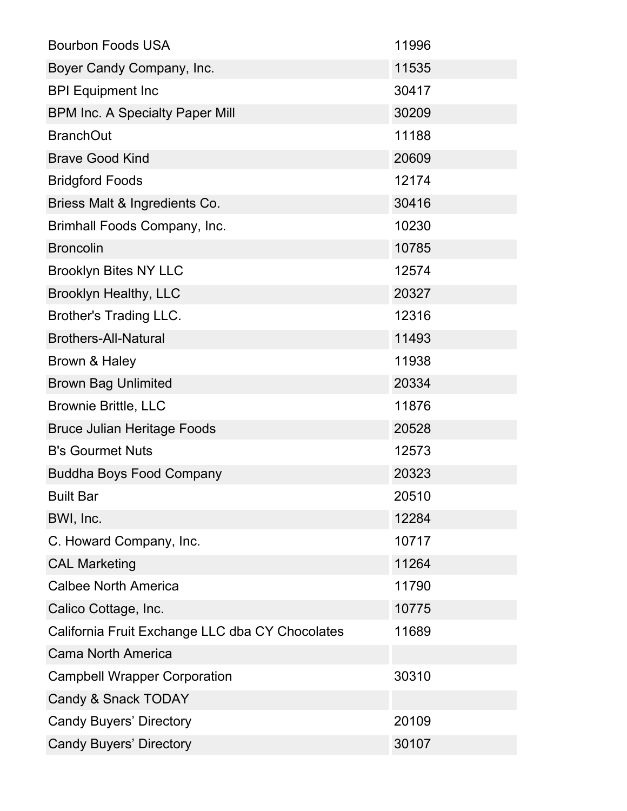| <b>Bourbon Foods USA</b>                        | 11996 |
|-------------------------------------------------|-------|
| Boyer Candy Company, Inc.                       | 11535 |
| <b>BPI Equipment Inc</b>                        | 30417 |
| <b>BPM Inc. A Specialty Paper Mill</b>          | 30209 |
| <b>BranchOut</b>                                | 11188 |
| <b>Brave Good Kind</b>                          | 20609 |
| <b>Bridgford Foods</b>                          | 12174 |
| Briess Malt & Ingredients Co.                   | 30416 |
| Brimhall Foods Company, Inc.                    | 10230 |
| <b>Broncolin</b>                                | 10785 |
| <b>Brooklyn Bites NY LLC</b>                    | 12574 |
| <b>Brooklyn Healthy, LLC</b>                    | 20327 |
| <b>Brother's Trading LLC.</b>                   | 12316 |
| <b>Brothers-All-Natural</b>                     | 11493 |
| Brown & Haley                                   | 11938 |
| <b>Brown Bag Unlimited</b>                      | 20334 |
| <b>Brownie Brittle, LLC</b>                     | 11876 |
| <b>Bruce Julian Heritage Foods</b>              | 20528 |
| <b>B's Gourmet Nuts</b>                         | 12573 |
| <b>Buddha Boys Food Company</b>                 | 20323 |
| <b>Built Bar</b>                                | 20510 |
| BWI, Inc.                                       | 12284 |
| C. Howard Company, Inc.                         | 10717 |
| <b>CAL Marketing</b>                            | 11264 |
| <b>Calbee North America</b>                     | 11790 |
| Calico Cottage, Inc.                            | 10775 |
| California Fruit Exchange LLC dba CY Chocolates | 11689 |
| <b>Cama North America</b>                       |       |
| <b>Campbell Wrapper Corporation</b>             | 30310 |
| Candy & Snack TODAY                             |       |
| <b>Candy Buyers' Directory</b>                  | 20109 |
| <b>Candy Buyers' Directory</b>                  | 30107 |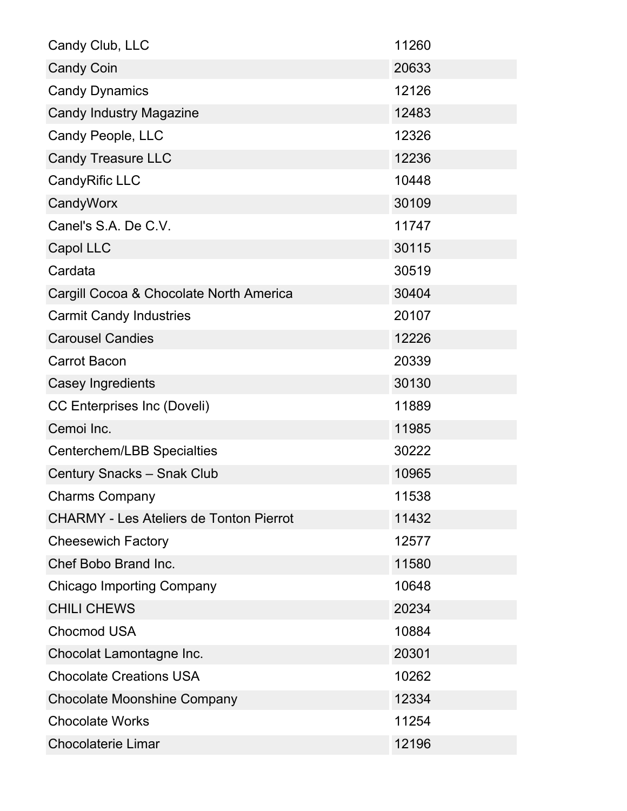| Candy Club, LLC                                | 11260 |
|------------------------------------------------|-------|
| <b>Candy Coin</b>                              | 20633 |
| <b>Candy Dynamics</b>                          | 12126 |
| <b>Candy Industry Magazine</b>                 | 12483 |
| Candy People, LLC                              | 12326 |
| <b>Candy Treasure LLC</b>                      | 12236 |
| CandyRific LLC                                 | 10448 |
| CandyWorx                                      | 30109 |
| Canel's S.A. De C.V.                           | 11747 |
| Capol LLC                                      | 30115 |
| Cardata                                        | 30519 |
| Cargill Cocoa & Chocolate North America        | 30404 |
| <b>Carmit Candy Industries</b>                 | 20107 |
| <b>Carousel Candies</b>                        | 12226 |
| <b>Carrot Bacon</b>                            | 20339 |
| Casey Ingredients                              | 30130 |
| <b>CC Enterprises Inc (Doveli)</b>             | 11889 |
| Cemoi Inc.                                     | 11985 |
| Centerchem/LBB Specialties                     | 30222 |
| <b>Century Snacks - Snak Club</b>              | 10965 |
| <b>Charms Company</b>                          | 11538 |
| <b>CHARMY - Les Ateliers de Tonton Pierrot</b> | 11432 |
| <b>Cheesewich Factory</b>                      | 12577 |
| Chef Bobo Brand Inc.                           | 11580 |
| <b>Chicago Importing Company</b>               | 10648 |
| <b>CHILI CHEWS</b>                             | 20234 |
| <b>Chocmod USA</b>                             | 10884 |
| Chocolat Lamontagne Inc.                       | 20301 |
| <b>Chocolate Creations USA</b>                 | 10262 |
| <b>Chocolate Moonshine Company</b>             | 12334 |
| <b>Chocolate Works</b>                         | 11254 |
| <b>Chocolaterie Limar</b>                      | 12196 |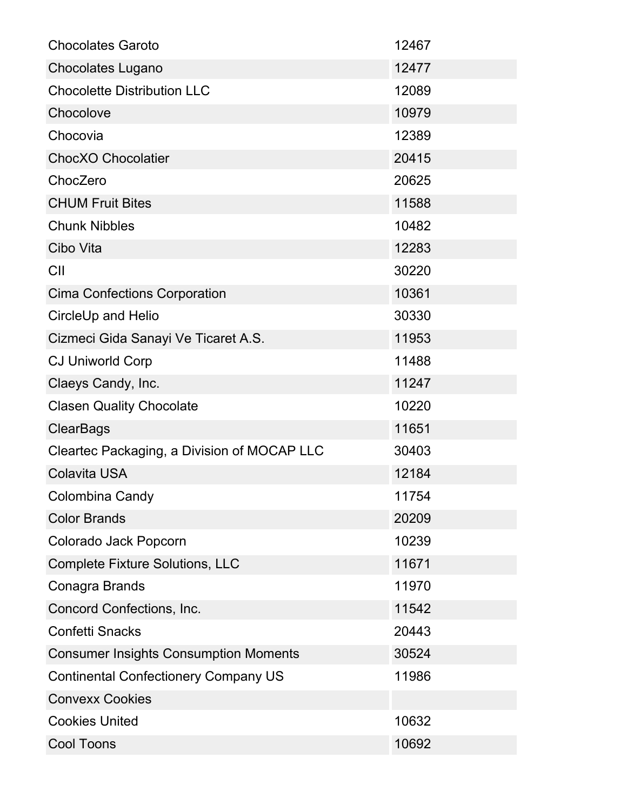| <b>Chocolates Garoto</b>                     | 12467 |
|----------------------------------------------|-------|
| <b>Chocolates Lugano</b>                     | 12477 |
| <b>Chocolette Distribution LLC</b>           | 12089 |
| Chocolove                                    | 10979 |
| Chocovia                                     | 12389 |
| <b>ChocXO Chocolatier</b>                    | 20415 |
| ChocZero                                     | 20625 |
| <b>CHUM Fruit Bites</b>                      | 11588 |
| <b>Chunk Nibbles</b>                         | 10482 |
| Cibo Vita                                    | 12283 |
| CII                                          | 30220 |
| <b>Cima Confections Corporation</b>          | 10361 |
| CircleUp and Helio                           | 30330 |
| Cizmeci Gida Sanayi Ve Ticaret A.S.          | 11953 |
| <b>CJ Uniworld Corp</b>                      | 11488 |
| Claeys Candy, Inc.                           | 11247 |
| <b>Clasen Quality Chocolate</b>              | 10220 |
| <b>ClearBags</b>                             | 11651 |
| Cleartec Packaging, a Division of MOCAP LLC  | 30403 |
| <b>Colavita USA</b>                          | 12184 |
| Colombina Candy                              | 11754 |
| <b>Color Brands</b>                          | 20209 |
| Colorado Jack Popcorn                        | 10239 |
| <b>Complete Fixture Solutions, LLC</b>       | 11671 |
| Conagra Brands                               | 11970 |
| Concord Confections, Inc.                    | 11542 |
| <b>Confetti Snacks</b>                       | 20443 |
| <b>Consumer Insights Consumption Moments</b> | 30524 |
| <b>Continental Confectionery Company US</b>  | 11986 |
| <b>Convexx Cookies</b>                       |       |
| <b>Cookies United</b>                        | 10632 |
| Cool Toons                                   | 10692 |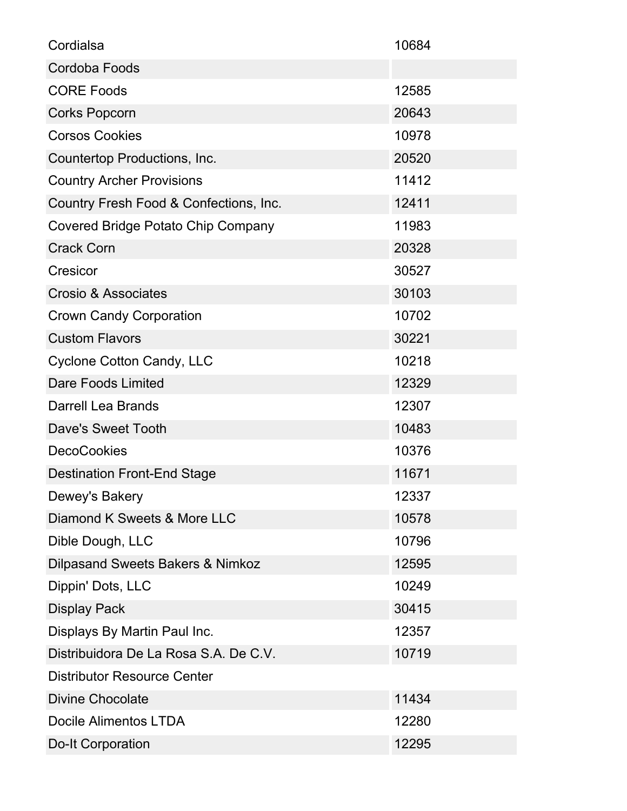| Cordialsa                                 | 10684 |
|-------------------------------------------|-------|
| Cordoba Foods                             |       |
| <b>CORE Foods</b>                         | 12585 |
| Corks Popcorn                             | 20643 |
| <b>Corsos Cookies</b>                     | 10978 |
| Countertop Productions, Inc.              | 20520 |
| <b>Country Archer Provisions</b>          | 11412 |
| Country Fresh Food & Confections, Inc.    | 12411 |
| <b>Covered Bridge Potato Chip Company</b> | 11983 |
| <b>Crack Corn</b>                         | 20328 |
| Cresicor                                  | 30527 |
| <b>Crosio &amp; Associates</b>            | 30103 |
| <b>Crown Candy Corporation</b>            | 10702 |
| <b>Custom Flavors</b>                     | 30221 |
| <b>Cyclone Cotton Candy, LLC</b>          | 10218 |
| <b>Dare Foods Limited</b>                 | 12329 |
| <b>Darrell Lea Brands</b>                 | 12307 |
| Dave's Sweet Tooth                        | 10483 |
| <b>DecoCookies</b>                        | 10376 |
| <b>Destination Front-End Stage</b>        | 11671 |
| Dewey's Bakery                            | 12337 |
| Diamond K Sweets & More LLC               | 10578 |
| Dible Dough, LLC                          | 10796 |
| Dilpasand Sweets Bakers & Nimkoz          | 12595 |
| Dippin' Dots, LLC                         | 10249 |
| <b>Display Pack</b>                       | 30415 |
| Displays By Martin Paul Inc.              | 12357 |
| Distribuidora De La Rosa S.A. De C.V.     | 10719 |
| <b>Distributor Resource Center</b>        |       |
| <b>Divine Chocolate</b>                   | 11434 |
| <b>Docile Alimentos LTDA</b>              | 12280 |
| <b>Do-It Corporation</b>                  | 12295 |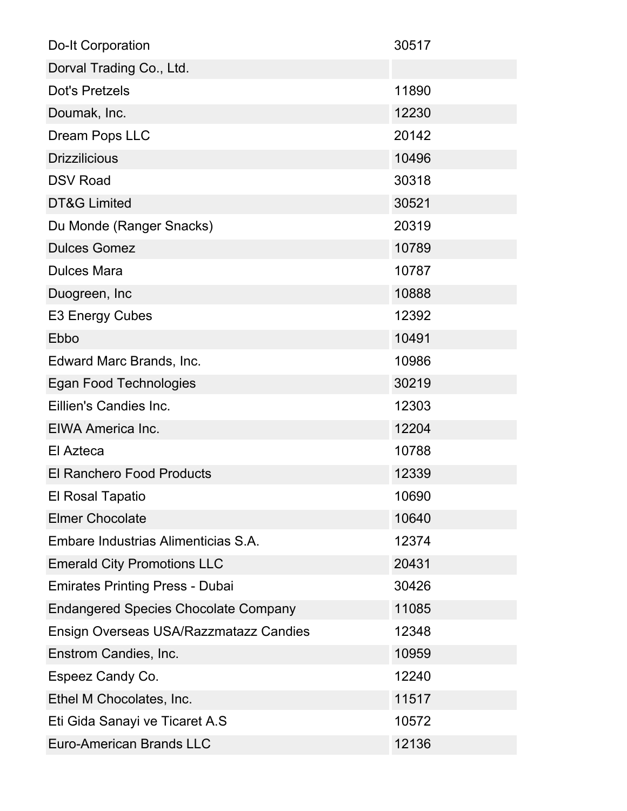| <b>Do-It Corporation</b>                    | 30517 |
|---------------------------------------------|-------|
| Dorval Trading Co., Ltd.                    |       |
| <b>Dot's Pretzels</b>                       | 11890 |
| Doumak, Inc.                                | 12230 |
| Dream Pops LLC                              | 20142 |
| <b>Drizzilicious</b>                        | 10496 |
| <b>DSV Road</b>                             | 30318 |
| <b>DT&amp;G Limited</b>                     | 30521 |
| Du Monde (Ranger Snacks)                    | 20319 |
| <b>Dulces Gomez</b>                         | 10789 |
| <b>Dulces Mara</b>                          | 10787 |
| Duogreen, Inc                               | 10888 |
| <b>E3 Energy Cubes</b>                      | 12392 |
| Ebbo                                        | 10491 |
| Edward Marc Brands, Inc.                    | 10986 |
| Egan Food Technologies                      | 30219 |
| Eillien's Candies Inc.                      | 12303 |
| EIWA America Inc.                           | 12204 |
| El Azteca                                   | 10788 |
| <b>El Ranchero Food Products</b>            | 12339 |
| El Rosal Tapatio                            | 10690 |
| <b>Elmer Chocolate</b>                      | 10640 |
| Embare Industrias Alimenticias S.A.         | 12374 |
| <b>Emerald City Promotions LLC</b>          | 20431 |
| <b>Emirates Printing Press - Dubai</b>      | 30426 |
| <b>Endangered Species Chocolate Company</b> | 11085 |
| Ensign Overseas USA/Razzmatazz Candies      | 12348 |
| Enstrom Candies, Inc.                       | 10959 |
| Espeez Candy Co.                            | 12240 |
| Ethel M Chocolates, Inc.                    | 11517 |
| Eti Gida Sanayi ve Ticaret A.S              | 10572 |
| <b>Euro-American Brands LLC</b>             | 12136 |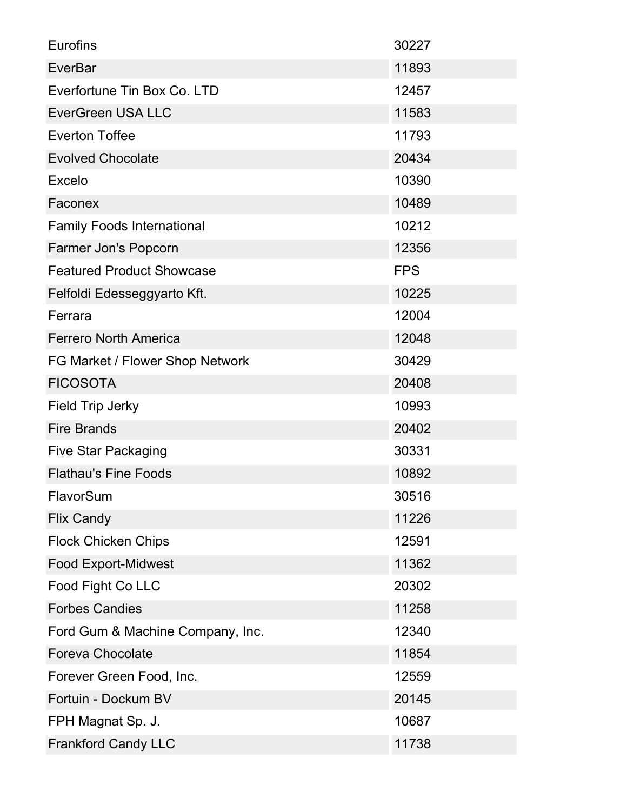| <b>Eurofins</b>                   | 30227      |
|-----------------------------------|------------|
| <b>EverBar</b>                    | 11893      |
| Everfortune Tin Box Co. LTD       | 12457      |
| <b>EverGreen USA LLC</b>          | 11583      |
| <b>Everton Toffee</b>             | 11793      |
| <b>Evolved Chocolate</b>          | 20434      |
| Excelo                            | 10390      |
| Faconex                           | 10489      |
| <b>Family Foods International</b> | 10212      |
| Farmer Jon's Popcorn              | 12356      |
| <b>Featured Product Showcase</b>  | <b>FPS</b> |
| Felfoldi Edesseggyarto Kft.       | 10225      |
| Ferrara                           | 12004      |
| <b>Ferrero North America</b>      | 12048      |
| FG Market / Flower Shop Network   | 30429      |
| <b>FICOSOTA</b>                   | 20408      |
| Field Trip Jerky                  | 10993      |
| <b>Fire Brands</b>                | 20402      |
| <b>Five Star Packaging</b>        | 30331      |
| <b>Flathau's Fine Foods</b>       | 10892      |
| FlavorSum                         | 30516      |
| <b>Flix Candy</b>                 | 11226      |
| <b>Flock Chicken Chips</b>        | 12591      |
| <b>Food Export-Midwest</b>        | 11362      |
| Food Fight Co LLC                 | 20302      |
| <b>Forbes Candies</b>             | 11258      |
| Ford Gum & Machine Company, Inc.  | 12340      |
| <b>Foreva Chocolate</b>           | 11854      |
| Forever Green Food, Inc.          | 12559      |
| Fortuin - Dockum BV               | 20145      |
| FPH Magnat Sp. J.                 | 10687      |
| <b>Frankford Candy LLC</b>        | 11738      |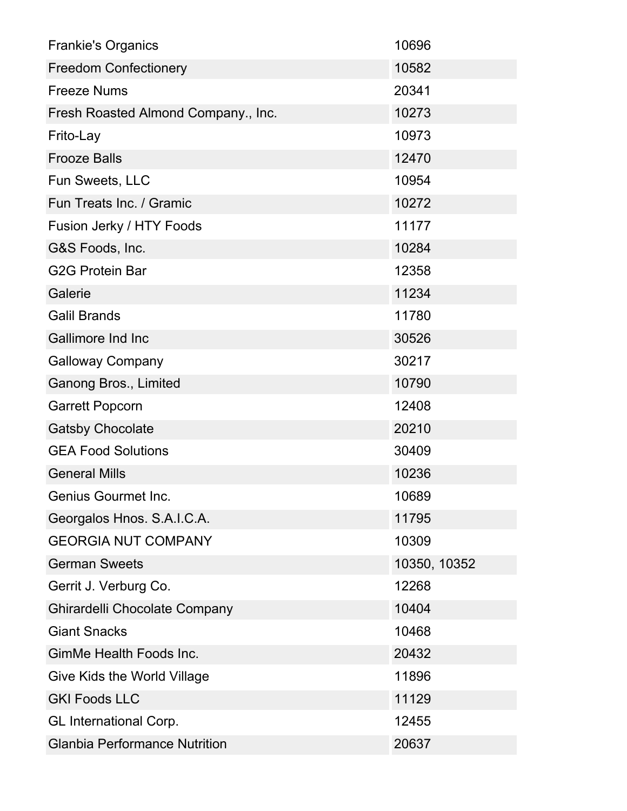| <b>Frankie's Organics</b>            | 10696        |
|--------------------------------------|--------------|
| <b>Freedom Confectionery</b>         | 10582        |
| <b>Freeze Nums</b>                   | 20341        |
| Fresh Roasted Almond Company., Inc.  | 10273        |
| Frito-Lay                            | 10973        |
| <b>Frooze Balls</b>                  | 12470        |
| Fun Sweets, LLC                      | 10954        |
| Fun Treats Inc. / Gramic             | 10272        |
| Fusion Jerky / HTY Foods             | 11177        |
| G&S Foods, Inc.                      | 10284        |
| <b>G2G Protein Bar</b>               | 12358        |
| Galerie                              | 11234        |
| <b>Galil Brands</b>                  | 11780        |
| Gallimore Ind Inc                    | 30526        |
| <b>Galloway Company</b>              | 30217        |
| Ganong Bros., Limited                | 10790        |
| <b>Garrett Popcorn</b>               | 12408        |
| <b>Gatsby Chocolate</b>              | 20210        |
| <b>GEA Food Solutions</b>            | 30409        |
| <b>General Mills</b>                 | 10236        |
| <b>Genius Gourmet Inc.</b>           | 10689        |
| Georgalos Hnos. S.A.I.C.A.           | 11795        |
| <b>GEORGIA NUT COMPANY</b>           | 10309        |
| <b>German Sweets</b>                 | 10350, 10352 |
| Gerrit J. Verburg Co.                | 12268        |
| Ghirardelli Chocolate Company        | 10404        |
| <b>Giant Snacks</b>                  | 10468        |
| GimMe Health Foods Inc.              | 20432        |
| Give Kids the World Village          | 11896        |
| <b>GKI Foods LLC</b>                 | 11129        |
| <b>GL International Corp.</b>        | 12455        |
| <b>Glanbia Performance Nutrition</b> | 20637        |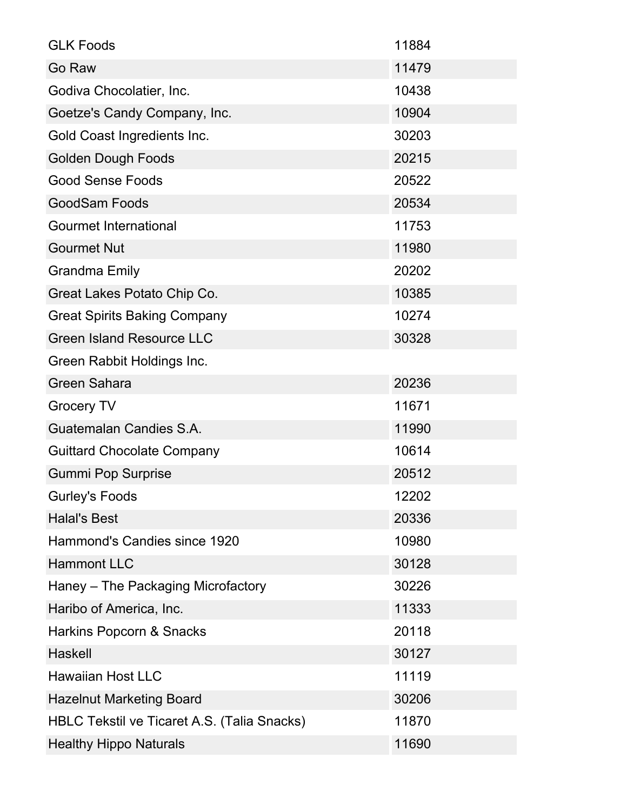| <b>GLK Foods</b>                            | 11884 |
|---------------------------------------------|-------|
| Go Raw                                      | 11479 |
| Godiva Chocolatier, Inc.                    | 10438 |
| Goetze's Candy Company, Inc.                | 10904 |
| Gold Coast Ingredients Inc.                 | 30203 |
| <b>Golden Dough Foods</b>                   | 20215 |
| <b>Good Sense Foods</b>                     | 20522 |
| <b>GoodSam Foods</b>                        | 20534 |
| <b>Gourmet International</b>                | 11753 |
| <b>Gourmet Nut</b>                          | 11980 |
| <b>Grandma Emily</b>                        | 20202 |
| Great Lakes Potato Chip Co.                 | 10385 |
| <b>Great Spirits Baking Company</b>         | 10274 |
| <b>Green Island Resource LLC</b>            | 30328 |
| Green Rabbit Holdings Inc.                  |       |
| <b>Green Sahara</b>                         | 20236 |
| <b>Grocery TV</b>                           | 11671 |
| Guatemalan Candies S.A.                     | 11990 |
| <b>Guittard Chocolate Company</b>           | 10614 |
| <b>Gummi Pop Surprise</b>                   | 20512 |
| <b>Gurley's Foods</b>                       | 12202 |
| <b>Halal's Best</b>                         | 20336 |
| Hammond's Candies since 1920                | 10980 |
| <b>Hammont LLC</b>                          | 30128 |
| Haney – The Packaging Microfactory          | 30226 |
| Haribo of America, Inc.                     | 11333 |
| Harkins Popcorn & Snacks                    | 20118 |
| Haskell                                     | 30127 |
| <b>Hawaiian Host LLC</b>                    | 11119 |
| <b>Hazelnut Marketing Board</b>             | 30206 |
| HBLC Tekstil ve Ticaret A.S. (Talia Snacks) | 11870 |
| <b>Healthy Hippo Naturals</b>               | 11690 |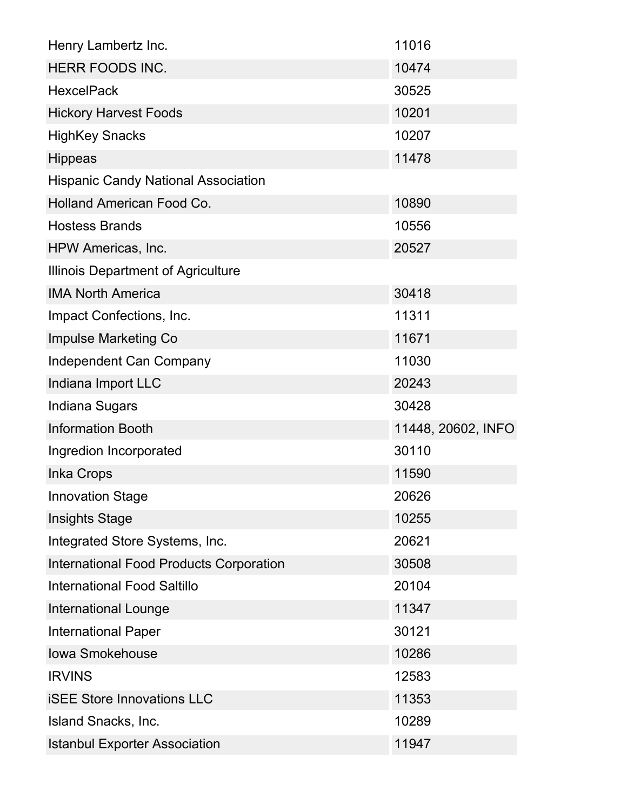| Henry Lambertz Inc.                            | 11016              |
|------------------------------------------------|--------------------|
| HERR FOODS INC.                                | 10474              |
| <b>HexcelPack</b>                              | 30525              |
| <b>Hickory Harvest Foods</b>                   | 10201              |
| <b>HighKey Snacks</b>                          | 10207              |
| <b>Hippeas</b>                                 | 11478              |
| <b>Hispanic Candy National Association</b>     |                    |
| <b>Holland American Food Co.</b>               | 10890              |
| <b>Hostess Brands</b>                          | 10556              |
| HPW Americas, Inc.                             | 20527              |
| Illinois Department of Agriculture             |                    |
| <b>IMA North America</b>                       | 30418              |
| Impact Confections, Inc.                       | 11311              |
| <b>Impulse Marketing Co</b>                    | 11671              |
| <b>Independent Can Company</b>                 | 11030              |
| Indiana Import LLC                             | 20243              |
| Indiana Sugars                                 | 30428              |
| <b>Information Booth</b>                       | 11448, 20602, INFO |
| Ingredion Incorporated                         | 30110              |
| <b>Inka Crops</b>                              | 11590              |
| <b>Innovation Stage</b>                        | 20626              |
| <b>Insights Stage</b>                          | 10255              |
| Integrated Store Systems, Inc.                 | 20621              |
| <b>International Food Products Corporation</b> | 30508              |
| <b>International Food Saltillo</b>             | 20104              |
| <b>International Lounge</b>                    | 11347              |
| <b>International Paper</b>                     | 30121              |
| <b>Iowa Smokehouse</b>                         | 10286              |
| <b>IRVINS</b>                                  | 12583              |
| <b>ISEE Store Innovations LLC</b>              | 11353              |
| Island Snacks, Inc.                            | 10289              |
| <b>Istanbul Exporter Association</b>           | 11947              |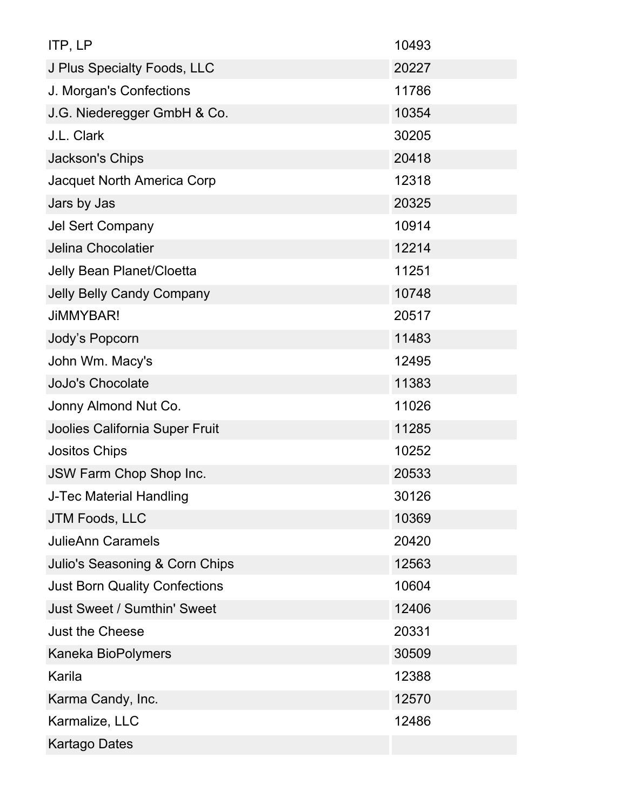| ITP, LP                              | 10493 |
|--------------------------------------|-------|
| J Plus Specialty Foods, LLC          | 20227 |
| J. Morgan's Confections              | 11786 |
| J.G. Niederegger GmbH & Co.          | 10354 |
| J.L. Clark                           | 30205 |
| Jackson's Chips                      | 20418 |
| <b>Jacquet North America Corp</b>    | 12318 |
| Jars by Jas                          | 20325 |
| <b>Jel Sert Company</b>              | 10914 |
| Jelina Chocolatier                   | 12214 |
| Jelly Bean Planet/Cloetta            | 11251 |
| <b>Jelly Belly Candy Company</b>     | 10748 |
| <b>JiMMYBAR!</b>                     | 20517 |
| Jody's Popcorn                       | 11483 |
| John Wm. Macy's                      | 12495 |
| <b>JoJo's Chocolate</b>              | 11383 |
| Jonny Almond Nut Co.                 | 11026 |
| Joolies California Super Fruit       | 11285 |
| <b>Jositos Chips</b>                 | 10252 |
| JSW Farm Chop Shop Inc.              | 20533 |
| J-Tec Material Handling              | 30126 |
| JTM Foods, LLC                       | 10369 |
| <b>JulieAnn Caramels</b>             | 20420 |
| Julio's Seasoning & Corn Chips       | 12563 |
| <b>Just Born Quality Confections</b> | 10604 |
| Just Sweet / Sumthin' Sweet          | 12406 |
| <b>Just the Cheese</b>               | 20331 |
| Kaneka BioPolymers                   | 30509 |
| Karila                               | 12388 |
| Karma Candy, Inc.                    | 12570 |
| Karmalize, LLC                       | 12486 |
| <b>Kartago Dates</b>                 |       |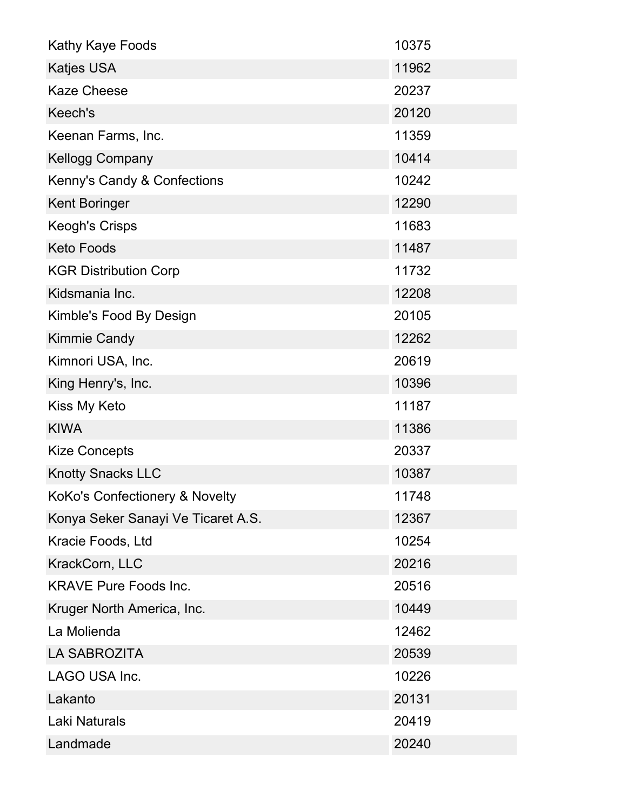| Kathy Kaye Foods                   | 10375 |
|------------------------------------|-------|
| Katjes USA                         | 11962 |
| <b>Kaze Cheese</b>                 | 20237 |
| Keech's                            | 20120 |
| Keenan Farms, Inc.                 | 11359 |
| <b>Kellogg Company</b>             | 10414 |
| Kenny's Candy & Confections        | 10242 |
| <b>Kent Boringer</b>               | 12290 |
| <b>Keogh's Crisps</b>              | 11683 |
| <b>Keto Foods</b>                  | 11487 |
| <b>KGR Distribution Corp</b>       | 11732 |
| Kidsmania Inc.                     | 12208 |
| Kimble's Food By Design            | 20105 |
| <b>Kimmie Candy</b>                | 12262 |
| Kimnori USA, Inc.                  | 20619 |
| King Henry's, Inc.                 | 10396 |
| Kiss My Keto                       | 11187 |
| <b>KIWA</b>                        | 11386 |
| <b>Kize Concepts</b>               | 20337 |
| <b>Knotty Snacks LLC</b>           | 10387 |
| KoKo's Confectionery & Novelty     | 11748 |
| Konya Seker Sanayi Ve Ticaret A.S. | 12367 |
| Kracie Foods, Ltd                  | 10254 |
| KrackCorn, LLC                     | 20216 |
| <b>KRAVE Pure Foods Inc.</b>       | 20516 |
| Kruger North America, Inc.         | 10449 |
| La Molienda                        | 12462 |
| <b>LA SABROZITA</b>                | 20539 |
| LAGO USA Inc.                      | 10226 |
| Lakanto                            | 20131 |
| Laki Naturals                      | 20419 |
| Landmade                           | 20240 |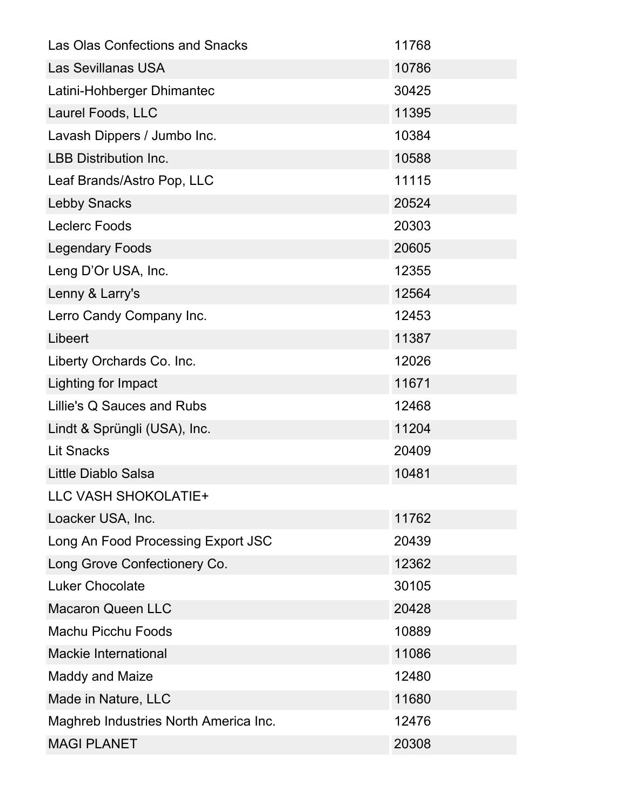| Las Olas Confections and Snacks       | 11768 |
|---------------------------------------|-------|
| <b>Las Sevillanas USA</b>             | 10786 |
| Latini-Hohberger Dhimantec            | 30425 |
| Laurel Foods, LLC                     | 11395 |
| Lavash Dippers / Jumbo Inc.           | 10384 |
| <b>LBB Distribution Inc.</b>          | 10588 |
| Leaf Brands/Astro Pop, LLC            | 11115 |
| <b>Lebby Snacks</b>                   | 20524 |
| <b>Leclerc Foods</b>                  | 20303 |
| <b>Legendary Foods</b>                | 20605 |
| Leng D'Or USA, Inc.                   | 12355 |
| Lenny & Larry's                       | 12564 |
| Lerro Candy Company Inc.              | 12453 |
| Libeert                               | 11387 |
| Liberty Orchards Co. Inc.             | 12026 |
| Lighting for Impact                   | 11671 |
| Lillie's Q Sauces and Rubs            | 12468 |
| Lindt & Sprüngli (USA), Inc.          | 11204 |
| <b>Lit Snacks</b>                     | 20409 |
| Little Diablo Salsa                   | 10481 |
| LLC VASH SHOKOLATIE+                  |       |
| Loacker USA, Inc.                     | 11762 |
| Long An Food Processing Export JSC    | 20439 |
| Long Grove Confectionery Co.          | 12362 |
| <b>Luker Chocolate</b>                | 30105 |
| <b>Macaron Queen LLC</b>              | 20428 |
| <b>Machu Picchu Foods</b>             | 10889 |
| <b>Mackie International</b>           | 11086 |
| <b>Maddy and Maize</b>                | 12480 |
| Made in Nature, LLC                   | 11680 |
| Maghreb Industries North America Inc. | 12476 |
| <b>MAGI PLANET</b>                    | 20308 |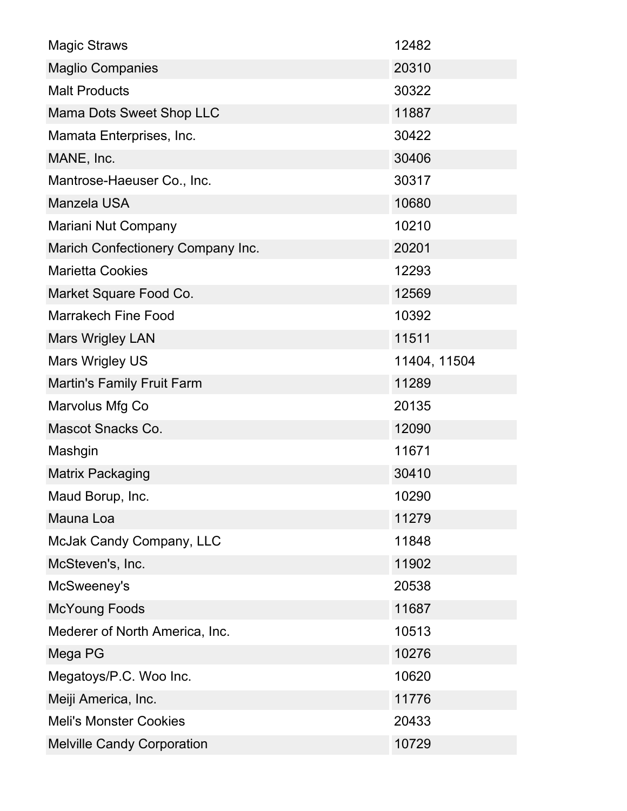| <b>Magic Straws</b>               | 12482        |
|-----------------------------------|--------------|
| <b>Maglio Companies</b>           | 20310        |
| <b>Malt Products</b>              | 30322        |
| Mama Dots Sweet Shop LLC          | 11887        |
| Mamata Enterprises, Inc.          | 30422        |
| MANE, Inc.                        | 30406        |
| Mantrose-Haeuser Co., Inc.        | 30317        |
| <b>Manzela USA</b>                | 10680        |
| Mariani Nut Company               | 10210        |
| Marich Confectionery Company Inc. | 20201        |
| <b>Marietta Cookies</b>           | 12293        |
| Market Square Food Co.            | 12569        |
| <b>Marrakech Fine Food</b>        | 10392        |
| <b>Mars Wrigley LAN</b>           | 11511        |
| <b>Mars Wrigley US</b>            | 11404, 11504 |
| <b>Martin's Family Fruit Farm</b> | 11289        |
| Marvolus Mfg Co                   | 20135        |
| <b>Mascot Snacks Co.</b>          | 12090        |
| Mashgin                           | 11671        |
| <b>Matrix Packaging</b>           | 30410        |
| Maud Borup, Inc.                  | 10290        |
| Mauna Loa                         | 11279        |
| McJak Candy Company, LLC          | 11848        |
| McSteven's, Inc.                  | 11902        |
| McSweeney's                       | 20538        |
| <b>McYoung Foods</b>              | 11687        |
| Mederer of North America, Inc.    | 10513        |
| Mega PG                           | 10276        |
| Megatoys/P.C. Woo Inc.            | 10620        |
| Meiji America, Inc.               | 11776        |
| <b>Meli's Monster Cookies</b>     | 20433        |
| <b>Melville Candy Corporation</b> | 10729        |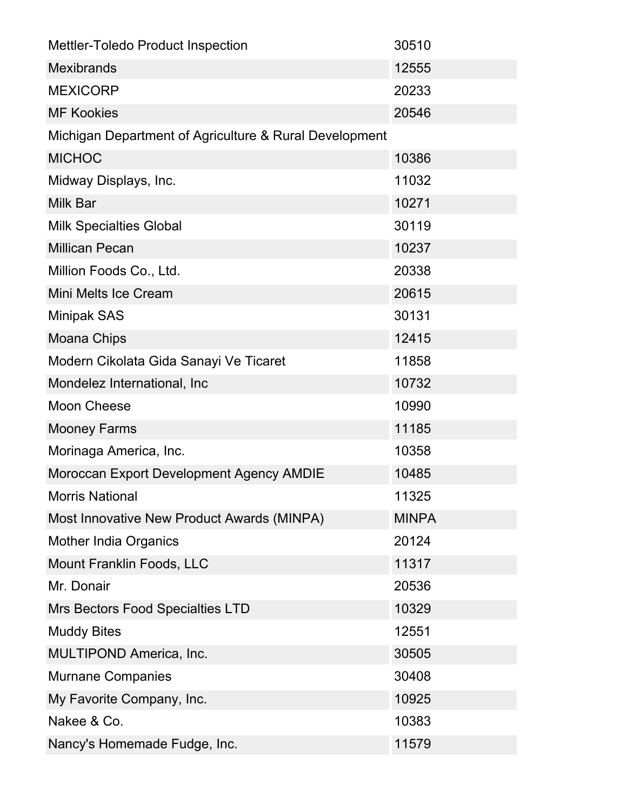| <b>Mettler-Toledo Product Inspection</b>               | 30510        |
|--------------------------------------------------------|--------------|
| <b>Mexibrands</b>                                      | 12555        |
| <b>MEXICORP</b>                                        | 20233        |
| <b>MF Kookies</b>                                      | 20546        |
| Michigan Department of Agriculture & Rural Development |              |
| <b>MICHOC</b>                                          | 10386        |
| Midway Displays, Inc.                                  | 11032        |
| <b>Milk Bar</b>                                        | 10271        |
| <b>Milk Specialties Global</b>                         | 30119        |
| <b>Millican Pecan</b>                                  | 10237        |
| Million Foods Co., Ltd.                                | 20338        |
| Mini Melts Ice Cream                                   | 20615        |
| <b>Minipak SAS</b>                                     | 30131        |
| <b>Moana Chips</b>                                     | 12415        |
| Modern Cikolata Gida Sanayi Ve Ticaret                 | 11858        |
| Mondelez International, Inc                            | 10732        |
| <b>Moon Cheese</b>                                     | 10990        |
| <b>Mooney Farms</b>                                    | 11185        |
| Morinaga America, Inc.                                 | 10358        |
| Moroccan Export Development Agency AMDIE               | 10485        |
| <b>Morris National</b>                                 | 11325        |
| Most Innovative New Product Awards (MINPA)             | <b>MINPA</b> |
| <b>Mother India Organics</b>                           | 20124        |
| Mount Franklin Foods, LLC                              | 11317        |
| Mr. Donair                                             | 20536        |
| Mrs Bectors Food Specialties LTD                       | 10329        |
| <b>Muddy Bites</b>                                     | 12551        |
| MULTIPOND America, Inc.                                | 30505        |
| <b>Murnane Companies</b>                               | 30408        |
| My Favorite Company, Inc.                              | 10925        |
| Nakee & Co.                                            | 10383        |
| Nancy's Homemade Fudge, Inc.                           | 11579        |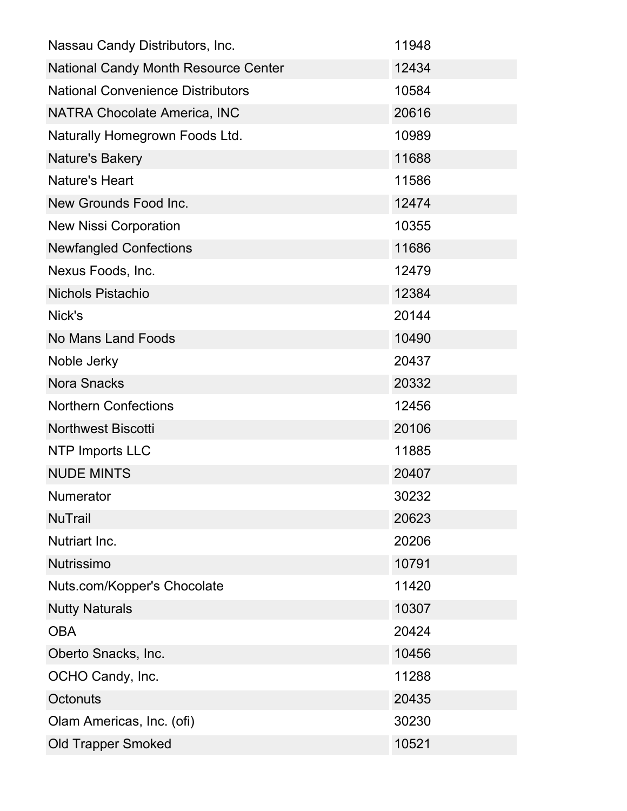| Nassau Candy Distributors, Inc.             | 11948 |
|---------------------------------------------|-------|
| <b>National Candy Month Resource Center</b> | 12434 |
| <b>National Convenience Distributors</b>    | 10584 |
| <b>NATRA Chocolate America, INC</b>         | 20616 |
| Naturally Homegrown Foods Ltd.              | 10989 |
| Nature's Bakery                             | 11688 |
| <b>Nature's Heart</b>                       | 11586 |
| New Grounds Food Inc.                       | 12474 |
| <b>New Nissi Corporation</b>                | 10355 |
| <b>Newfangled Confections</b>               | 11686 |
| Nexus Foods, Inc.                           | 12479 |
| <b>Nichols Pistachio</b>                    | 12384 |
| Nick's                                      | 20144 |
| <b>No Mans Land Foods</b>                   | 10490 |
| Noble Jerky                                 | 20437 |
| <b>Nora Snacks</b>                          | 20332 |
| <b>Northern Confections</b>                 | 12456 |
| <b>Northwest Biscotti</b>                   | 20106 |
| <b>NTP Imports LLC</b>                      | 11885 |
| <b>NUDE MINTS</b>                           | 20407 |
| <b>Numerator</b>                            | 30232 |
| <b>NuTrail</b>                              | 20623 |
| <b>Nutriart Inc.</b>                        | 20206 |
| Nutrissimo                                  | 10791 |
| Nuts.com/Kopper's Chocolate                 | 11420 |
| <b>Nutty Naturals</b>                       | 10307 |
| <b>OBA</b>                                  | 20424 |
| Oberto Snacks, Inc.                         | 10456 |
| OCHO Candy, Inc.                            | 11288 |
| Octonuts                                    | 20435 |
| Olam Americas, Inc. (ofi)                   | 30230 |
| <b>Old Trapper Smoked</b>                   | 10521 |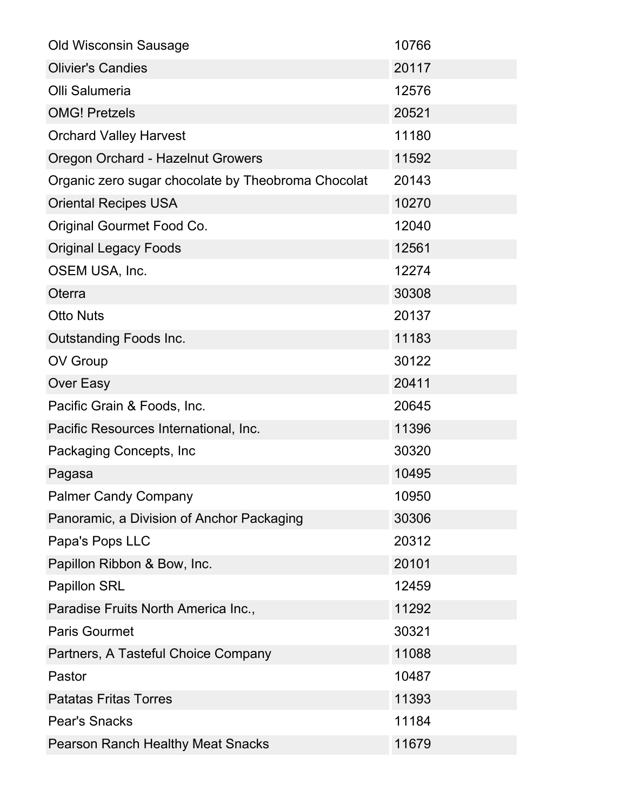| <b>Old Wisconsin Sausage</b>                       | 10766 |
|----------------------------------------------------|-------|
| <b>Olivier's Candies</b>                           | 20117 |
| Olli Salumeria                                     | 12576 |
| <b>OMG! Pretzels</b>                               | 20521 |
| <b>Orchard Valley Harvest</b>                      | 11180 |
| Oregon Orchard - Hazelnut Growers                  | 11592 |
| Organic zero sugar chocolate by Theobroma Chocolat | 20143 |
| <b>Oriental Recipes USA</b>                        | 10270 |
| Original Gourmet Food Co.                          | 12040 |
| <b>Original Legacy Foods</b>                       | 12561 |
| OSEM USA, Inc.                                     | 12274 |
| Oterra                                             | 30308 |
| <b>Otto Nuts</b>                                   | 20137 |
| <b>Outstanding Foods Inc.</b>                      | 11183 |
| OV Group                                           | 30122 |
| Over Easy                                          | 20411 |
| Pacific Grain & Foods, Inc.                        | 20645 |
| Pacific Resources International, Inc.              | 11396 |
| Packaging Concepts, Inc.                           | 30320 |
| Pagasa                                             | 10495 |
| <b>Palmer Candy Company</b>                        | 10950 |
| Panoramic, a Division of Anchor Packaging          | 30306 |
| Papa's Pops LLC                                    | 20312 |
| Papillon Ribbon & Bow, Inc.                        | 20101 |
| <b>Papillon SRL</b>                                | 12459 |
| Paradise Fruits North America Inc.,                | 11292 |
| <b>Paris Gourmet</b>                               | 30321 |
| Partners, A Tasteful Choice Company                | 11088 |
| Pastor                                             | 10487 |
| <b>Patatas Fritas Torres</b>                       | 11393 |
| <b>Pear's Snacks</b>                               | 11184 |
| <b>Pearson Ranch Healthy Meat Snacks</b>           | 11679 |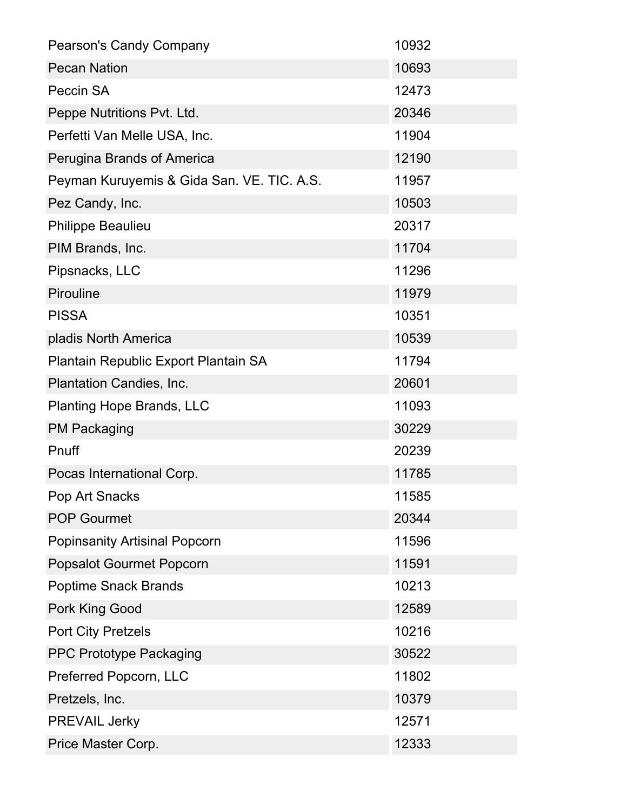| <b>Pearson's Candy Company</b>             | 10932 |
|--------------------------------------------|-------|
| <b>Pecan Nation</b>                        | 10693 |
| Peccin SA                                  | 12473 |
| Peppe Nutritions Pvt. Ltd.                 | 20346 |
| Perfetti Van Melle USA, Inc.               | 11904 |
| Perugina Brands of America                 | 12190 |
| Peyman Kuruyemis & Gida San. VE. TIC. A.S. | 11957 |
| Pez Candy, Inc.                            | 10503 |
| <b>Philippe Beaulieu</b>                   | 20317 |
| PIM Brands, Inc.                           | 11704 |
| Pipsnacks, LLC                             | 11296 |
| Pirouline                                  | 11979 |
| <b>PISSA</b>                               | 10351 |
| pladis North America                       | 10539 |
| Plantain Republic Export Plantain SA       | 11794 |
| Plantation Candies, Inc.                   | 20601 |
| <b>Planting Hope Brands, LLC</b>           | 11093 |
| <b>PM Packaging</b>                        | 30229 |
| Pnuff                                      | 20239 |
| Pocas International Corp.                  | 11785 |
| Pop Art Snacks                             | 11585 |
| <b>POP Gourmet</b>                         | 20344 |
| <b>Popinsanity Artisinal Popcorn</b>       | 11596 |
| <b>Popsalot Gourmet Popcorn</b>            | 11591 |
| <b>Poptime Snack Brands</b>                | 10213 |
| Pork King Good                             | 12589 |
| <b>Port City Pretzels</b>                  | 10216 |
| <b>PPC Prototype Packaging</b>             | 30522 |
| Preferred Popcorn, LLC                     | 11802 |
| Pretzels, Inc.                             | 10379 |
| <b>PREVAIL Jerky</b>                       | 12571 |
| Price Master Corp.                         | 12333 |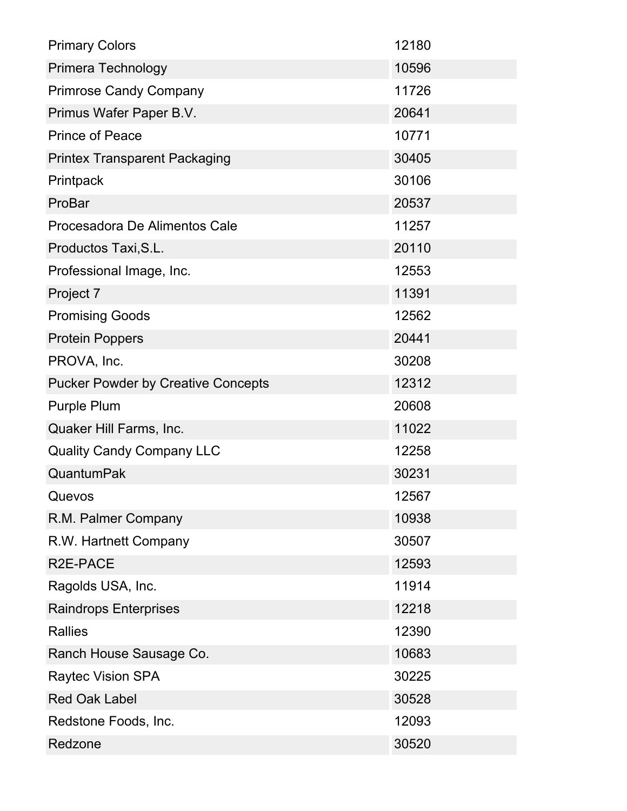| <b>Primary Colors</b>                     | 12180 |
|-------------------------------------------|-------|
| Primera Technology                        | 10596 |
| <b>Primrose Candy Company</b>             | 11726 |
| Primus Wafer Paper B.V.                   | 20641 |
| <b>Prince of Peace</b>                    | 10771 |
| <b>Printex Transparent Packaging</b>      | 30405 |
| Printpack                                 | 30106 |
| ProBar                                    | 20537 |
| Procesadora De Alimentos Cale             | 11257 |
| Productos Taxi, S.L.                      | 20110 |
| Professional Image, Inc.                  | 12553 |
| Project 7                                 | 11391 |
| <b>Promising Goods</b>                    | 12562 |
| <b>Protein Poppers</b>                    | 20441 |
| PROVA, Inc.                               | 30208 |
| <b>Pucker Powder by Creative Concepts</b> | 12312 |
| Purple Plum                               | 20608 |
| Quaker Hill Farms, Inc.                   | 11022 |
| <b>Quality Candy Company LLC</b>          | 12258 |
| QuantumPak                                | 30231 |
| Quevos                                    | 12567 |
| R.M. Palmer Company                       | 10938 |
| R.W. Hartnett Company                     | 30507 |
| R2E-PACE                                  | 12593 |
| Ragolds USA, Inc.                         | 11914 |
| <b>Raindrops Enterprises</b>              | 12218 |
| <b>Rallies</b>                            | 12390 |
| Ranch House Sausage Co.                   | 10683 |
| <b>Raytec Vision SPA</b>                  | 30225 |
| <b>Red Oak Label</b>                      | 30528 |
| Redstone Foods, Inc.                      | 12093 |
| Redzone                                   | 30520 |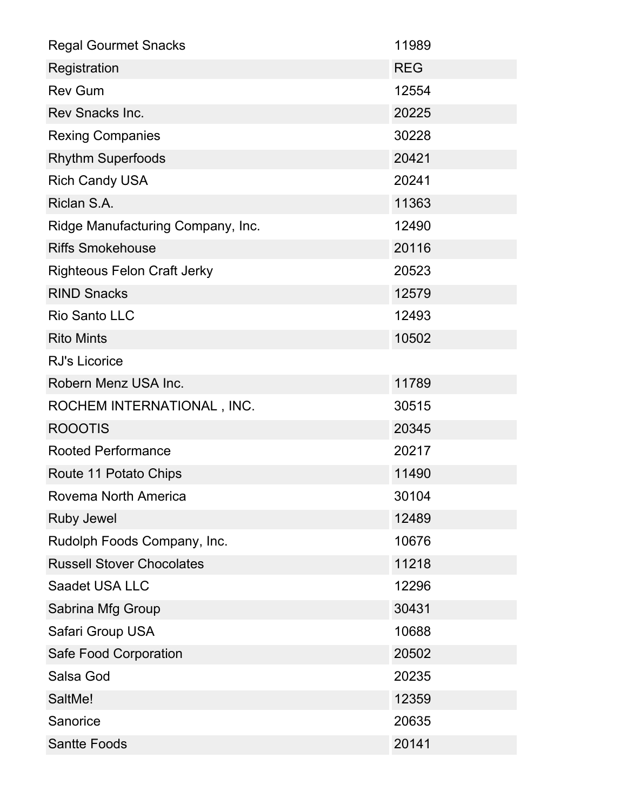| <b>Regal Gourmet Snacks</b>        | 11989      |
|------------------------------------|------------|
| Registration                       | <b>REG</b> |
| <b>Rev Gum</b>                     | 12554      |
| Rev Snacks Inc.                    | 20225      |
| <b>Rexing Companies</b>            | 30228      |
| <b>Rhythm Superfoods</b>           | 20421      |
| <b>Rich Candy USA</b>              | 20241      |
| Riclan S.A.                        | 11363      |
| Ridge Manufacturing Company, Inc.  | 12490      |
| <b>Riffs Smokehouse</b>            | 20116      |
| <b>Righteous Felon Craft Jerky</b> | 20523      |
| <b>RIND Snacks</b>                 | 12579      |
| <b>Rio Santo LLC</b>               | 12493      |
| <b>Rito Mints</b>                  | 10502      |
| <b>RJ's Licorice</b>               |            |
| Robern Menz USA Inc.               | 11789      |
| ROCHEM INTERNATIONAL, INC.         | 30515      |
| <b>ROOOTIS</b>                     | 20345      |
| <b>Rooted Performance</b>          | 20217      |
| Route 11 Potato Chips              | 11490      |
| Rovema North America               | 30104      |
| <b>Ruby Jewel</b>                  | 12489      |
| Rudolph Foods Company, Inc.        | 10676      |
| <b>Russell Stover Chocolates</b>   | 11218      |
| Saadet USA LLC                     | 12296      |
| Sabrina Mfg Group                  | 30431      |
| Safari Group USA                   | 10688      |
| Safe Food Corporation              | 20502      |
| Salsa God                          | 20235      |
| SaltMe!                            | 12359      |
| Sanorice                           | 20635      |
| <b>Santte Foods</b>                | 20141      |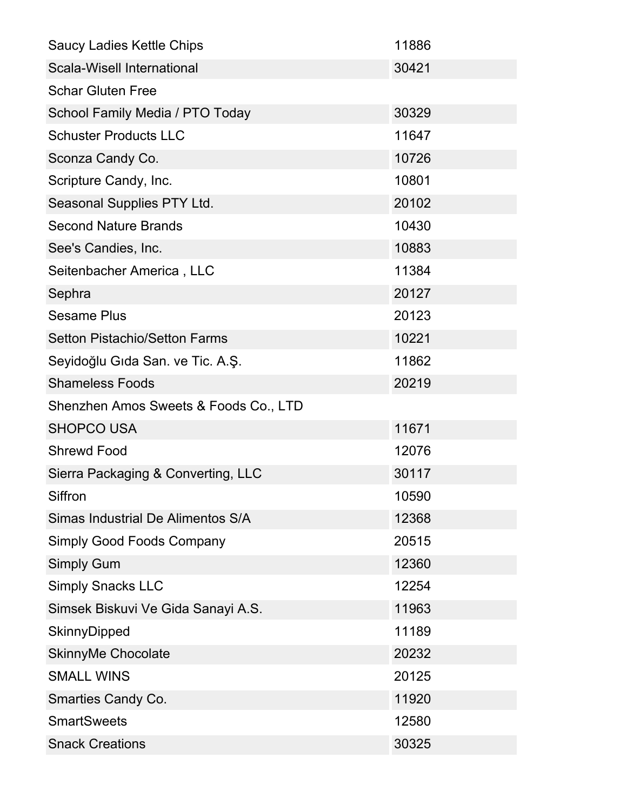| <b>Saucy Ladies Kettle Chips</b>      | 11886 |
|---------------------------------------|-------|
| <b>Scala-Wisell International</b>     | 30421 |
| <b>Schar Gluten Free</b>              |       |
| School Family Media / PTO Today       | 30329 |
| <b>Schuster Products LLC</b>          | 11647 |
| Sconza Candy Co.                      | 10726 |
| Scripture Candy, Inc.                 | 10801 |
| Seasonal Supplies PTY Ltd.            | 20102 |
| <b>Second Nature Brands</b>           | 10430 |
| See's Candies, Inc.                   | 10883 |
| Seitenbacher America, LLC             | 11384 |
| Sephra                                | 20127 |
| <b>Sesame Plus</b>                    | 20123 |
| <b>Setton Pistachio/Setton Farms</b>  | 10221 |
| Seyidoğlu Gıda San. ve Tic. A.Ş.      | 11862 |
| <b>Shameless Foods</b>                | 20219 |
| Shenzhen Amos Sweets & Foods Co., LTD |       |
| <b>SHOPCO USA</b>                     | 11671 |
| <b>Shrewd Food</b>                    | 12076 |
| Sierra Packaging & Converting, LLC    | 30117 |
| Siffron                               | 10590 |
| Simas Industrial De Alimentos S/A     | 12368 |
| <b>Simply Good Foods Company</b>      | 20515 |
| <b>Simply Gum</b>                     | 12360 |
| <b>Simply Snacks LLC</b>              | 12254 |
| Simsek Biskuvi Ve Gida Sanayi A.S.    | 11963 |
| SkinnyDipped                          | 11189 |
| <b>SkinnyMe Chocolate</b>             | 20232 |
| <b>SMALL WINS</b>                     | 20125 |
| <b>Smarties Candy Co.</b>             | 11920 |
| <b>SmartSweets</b>                    | 12580 |
| <b>Snack Creations</b>                | 30325 |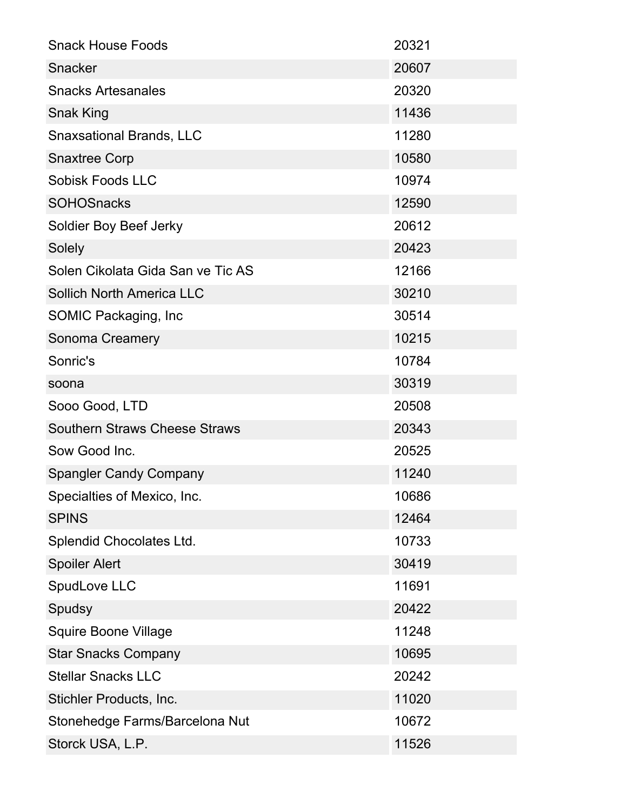| <b>Snack House Foods</b>             | 20321 |
|--------------------------------------|-------|
| Snacker                              | 20607 |
| <b>Snacks Artesanales</b>            | 20320 |
| <b>Snak King</b>                     | 11436 |
| <b>Snaxsational Brands, LLC</b>      | 11280 |
| <b>Snaxtree Corp</b>                 | 10580 |
| <b>Sobisk Foods LLC</b>              | 10974 |
| <b>SOHOSnacks</b>                    | 12590 |
| Soldier Boy Beef Jerky               | 20612 |
| Solely                               | 20423 |
| Solen Cikolata Gida San ve Tic AS    | 12166 |
| <b>Sollich North America LLC</b>     | 30210 |
| SOMIC Packaging, Inc                 | 30514 |
| Sonoma Creamery                      | 10215 |
| Sonric's                             | 10784 |
| soona                                | 30319 |
| Sooo Good, LTD                       | 20508 |
| <b>Southern Straws Cheese Straws</b> | 20343 |
| Sow Good Inc.                        | 20525 |
| <b>Spangler Candy Company</b>        | 11240 |
| Specialties of Mexico, Inc.          | 10686 |
| <b>SPINS</b>                         | 12464 |
| Splendid Chocolates Ltd.             | 10733 |
| <b>Spoiler Alert</b>                 | 30419 |
| SpudLove LLC                         | 11691 |
| Spudsy                               | 20422 |
| <b>Squire Boone Village</b>          | 11248 |
| <b>Star Snacks Company</b>           | 10695 |
| <b>Stellar Snacks LLC</b>            | 20242 |
| Stichler Products, Inc.              | 11020 |
|                                      |       |
| Stonehedge Farms/Barcelona Nut       | 10672 |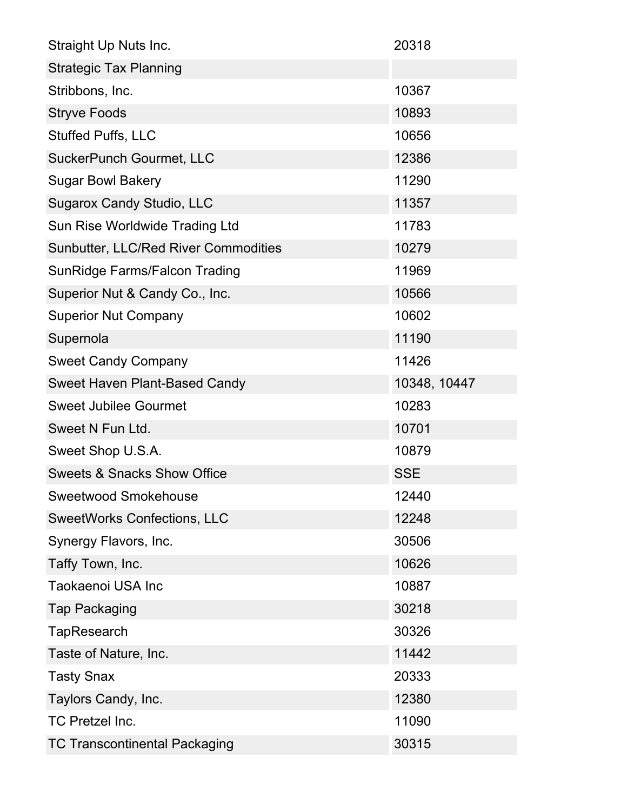| Straight Up Nuts Inc.                       | 20318        |
|---------------------------------------------|--------------|
| <b>Strategic Tax Planning</b>               |              |
| Stribbons, Inc.                             | 10367        |
| <b>Stryve Foods</b>                         | 10893        |
| <b>Stuffed Puffs, LLC</b>                   | 10656        |
| <b>SuckerPunch Gourmet, LLC</b>             | 12386        |
| <b>Sugar Bowl Bakery</b>                    | 11290        |
| <b>Sugarox Candy Studio, LLC</b>            | 11357        |
| Sun Rise Worldwide Trading Ltd              | 11783        |
| <b>Sunbutter, LLC/Red River Commodities</b> | 10279        |
| <b>SunRidge Farms/Falcon Trading</b>        | 11969        |
| Superior Nut & Candy Co., Inc.              | 10566        |
| <b>Superior Nut Company</b>                 | 10602        |
| Supernola                                   | 11190        |
| <b>Sweet Candy Company</b>                  | 11426        |
| Sweet Haven Plant-Based Candy               | 10348, 10447 |
| <b>Sweet Jubilee Gourmet</b>                | 10283        |
| Sweet N Fun Ltd.                            | 10701        |
| Sweet Shop U.S.A.                           | 10879        |
| <b>Sweets &amp; Snacks Show Office</b>      | <b>SSE</b>   |
| <b>Sweetwood Smokehouse</b>                 | 12440        |
| <b>SweetWorks Confections, LLC</b>          | 12248        |
| Synergy Flavors, Inc.                       | 30506        |
| Taffy Town, Inc.                            | 10626        |
| Taokaenoi USA Inc                           | 10887        |
| <b>Tap Packaging</b>                        | 30218        |
| TapResearch                                 | 30326        |
| Taste of Nature, Inc.                       | 11442        |
| Tasty Snax                                  | 20333        |
| Taylors Candy, Inc.                         | 12380        |
| <b>TC Pretzel Inc.</b>                      | 11090        |
| <b>TC Transcontinental Packaging</b>        | 30315        |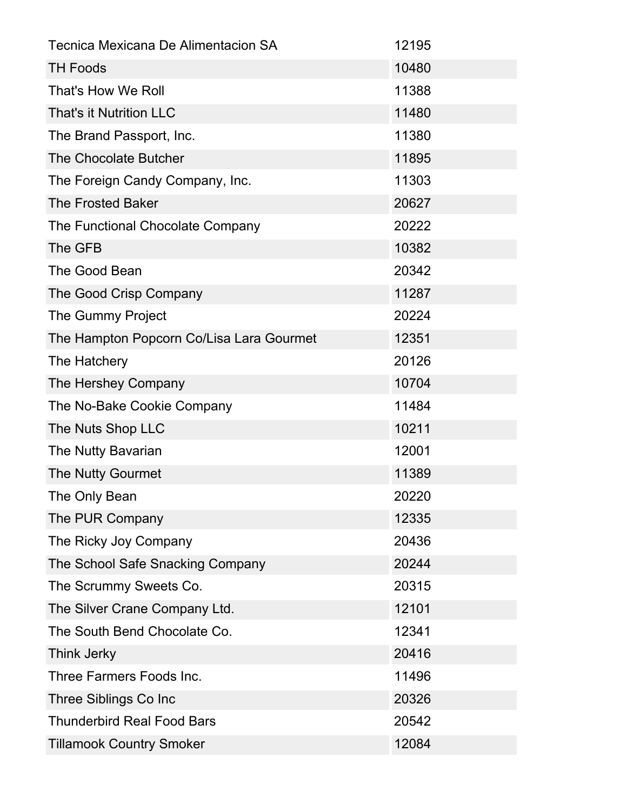| Tecnica Mexicana De Alimentacion SA      | 12195 |
|------------------------------------------|-------|
| <b>TH Foods</b>                          | 10480 |
| That's How We Roll                       | 11388 |
| That's it Nutrition LLC                  | 11480 |
| The Brand Passport, Inc.                 | 11380 |
| The Chocolate Butcher                    | 11895 |
| The Foreign Candy Company, Inc.          | 11303 |
| <b>The Frosted Baker</b>                 | 20627 |
| The Functional Chocolate Company         | 20222 |
| The GFB                                  | 10382 |
| The Good Bean                            | 20342 |
| The Good Crisp Company                   | 11287 |
| The Gummy Project                        | 20224 |
| The Hampton Popcorn Co/Lisa Lara Gourmet | 12351 |
| The Hatchery                             | 20126 |
| The Hershey Company                      | 10704 |
| The No-Bake Cookie Company               | 11484 |
| The Nuts Shop LLC                        | 10211 |
| The Nutty Bavarian                       | 12001 |
| The Nutty Gourmet                        | 11389 |
| The Only Bean                            | 20220 |
| The PUR Company                          | 12335 |
| The Ricky Joy Company                    | 20436 |
| The School Safe Snacking Company         | 20244 |
| The Scrummy Sweets Co.                   | 20315 |
| The Silver Crane Company Ltd.            | 12101 |
| The South Bend Chocolate Co.             | 12341 |
| Think Jerky                              | 20416 |
| Three Farmers Foods Inc.                 | 11496 |
| Three Siblings Co Inc                    | 20326 |
| <b>Thunderbird Real Food Bars</b>        | 20542 |
| <b>Tillamook Country Smoker</b>          | 12084 |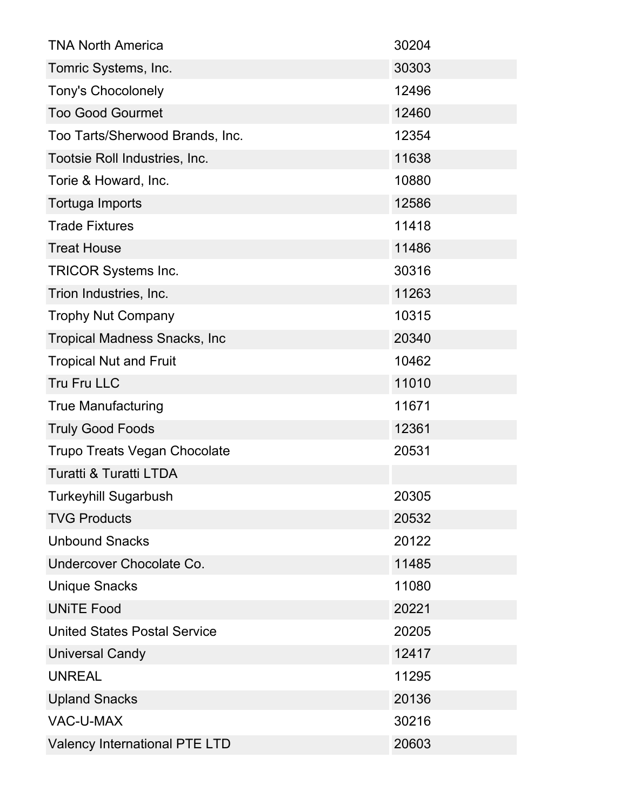| <b>TNA North America</b>             | 30204 |
|--------------------------------------|-------|
| Tomric Systems, Inc.                 | 30303 |
| <b>Tony's Chocolonely</b>            | 12496 |
| <b>Too Good Gourmet</b>              | 12460 |
| Too Tarts/Sherwood Brands, Inc.      | 12354 |
| Tootsie Roll Industries, Inc.        | 11638 |
| Torie & Howard, Inc.                 | 10880 |
| Tortuga Imports                      | 12586 |
| <b>Trade Fixtures</b>                | 11418 |
| <b>Treat House</b>                   | 11486 |
| <b>TRICOR Systems Inc.</b>           | 30316 |
| Trion Industries, Inc.               | 11263 |
| <b>Trophy Nut Company</b>            | 10315 |
| <b>Tropical Madness Snacks, Inc.</b> | 20340 |
| <b>Tropical Nut and Fruit</b>        | 10462 |
| Tru Fru LLC                          | 11010 |
| <b>True Manufacturing</b>            | 11671 |
| <b>Truly Good Foods</b>              | 12361 |
| <b>Trupo Treats Vegan Chocolate</b>  | 20531 |
| <b>Turatti &amp; Turatti LTDA</b>    |       |
| <b>Turkeyhill Sugarbush</b>          | 20305 |
| <b>TVG Products</b>                  | 20532 |
| <b>Unbound Snacks</b>                | 20122 |
| Undercover Chocolate Co.             | 11485 |
| <b>Unique Snacks</b>                 | 11080 |
| <b>UNITE Food</b>                    | 20221 |
| <b>United States Postal Service</b>  | 20205 |
| <b>Universal Candy</b>               | 12417 |
| <b>UNREAL</b>                        | 11295 |
| <b>Upland Snacks</b>                 | 20136 |
| <b>VAC-U-MAX</b>                     | 30216 |
| <b>Valency International PTE LTD</b> | 20603 |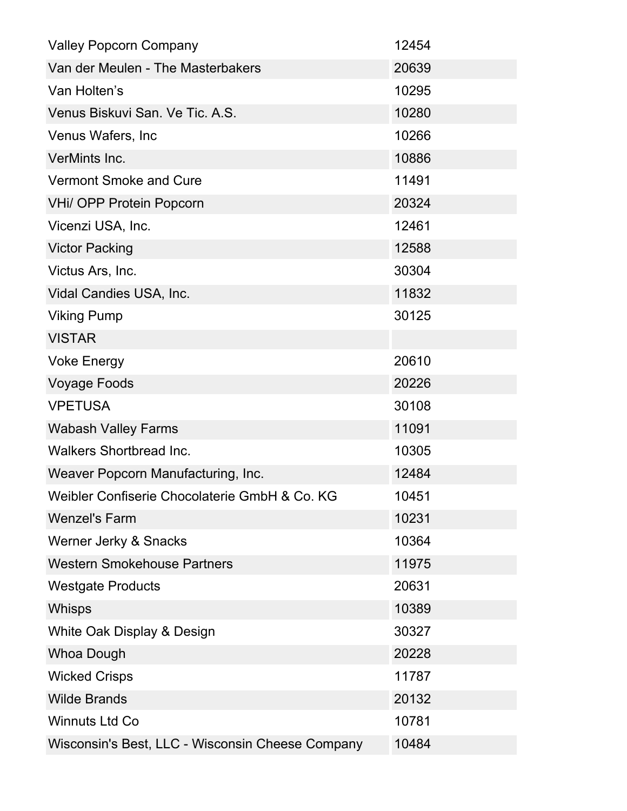| <b>Valley Popcorn Company</b>                    | 12454 |
|--------------------------------------------------|-------|
| Van der Meulen - The Masterbakers                | 20639 |
| Van Holten's                                     | 10295 |
| Venus Biskuvi San. Ve Tic. A.S.                  | 10280 |
| Venus Wafers, Inc.                               | 10266 |
| VerMints Inc.                                    | 10886 |
| <b>Vermont Smoke and Cure</b>                    | 11491 |
| <b>VHi/ OPP Protein Popcorn</b>                  | 20324 |
| Vicenzi USA, Inc.                                | 12461 |
| <b>Victor Packing</b>                            | 12588 |
| Victus Ars, Inc.                                 | 30304 |
| Vidal Candies USA, Inc.                          | 11832 |
| <b>Viking Pump</b>                               | 30125 |
| <b>VISTAR</b>                                    |       |
| <b>Voke Energy</b>                               | 20610 |
| <b>Voyage Foods</b>                              | 20226 |
| <b>VPETUSA</b>                                   | 30108 |
| <b>Wabash Valley Farms</b>                       | 11091 |
| <b>Walkers Shortbread Inc.</b>                   | 10305 |
| Weaver Popcorn Manufacturing, Inc.               | 12484 |
| Weibler Confiserie Chocolaterie GmbH & Co. KG    | 10451 |
| <b>Wenzel's Farm</b>                             | 10231 |
| Werner Jerky & Snacks                            | 10364 |
| <b>Western Smokehouse Partners</b>               | 11975 |
| <b>Westgate Products</b>                         | 20631 |
| <b>Whisps</b>                                    | 10389 |
| White Oak Display & Design                       | 30327 |
| <b>Whoa Dough</b>                                | 20228 |
| <b>Wicked Crisps</b>                             | 11787 |
| <b>Wilde Brands</b>                              | 20132 |
| <b>Winnuts Ltd Co</b>                            | 10781 |
| Wisconsin's Best, LLC - Wisconsin Cheese Company | 10484 |